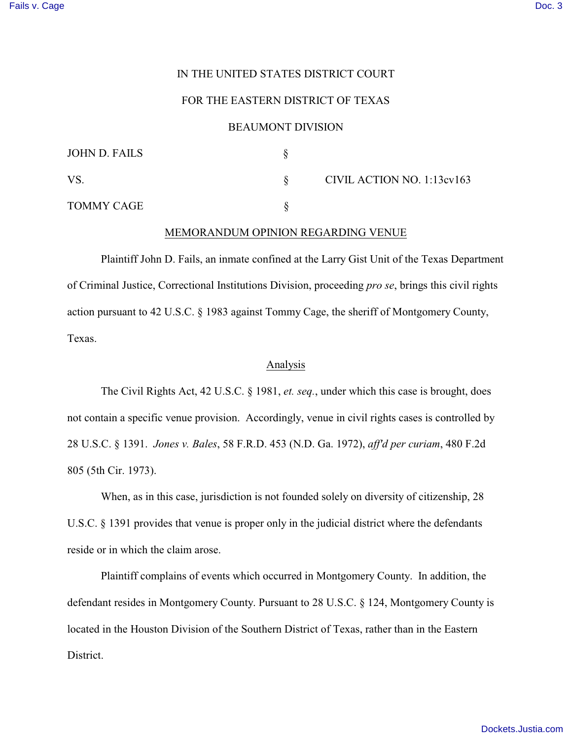# IN THE UNITED STATES DISTRICT COURT

## FOR THE EASTERN DISTRICT OF TEXAS

### BEAUMONT DIVISION

| JOHN D. FAILS     |                            |
|-------------------|----------------------------|
| <b>VS</b>         | CIVIL ACTION NO. 1:13cv163 |
| <b>TOMMY CAGE</b> |                            |

## MEMORANDUM OPINION REGARDING VENUE

Plaintiff John D. Fails, an inmate confined at the Larry Gist Unit of the Texas Department of Criminal Justice, Correctional Institutions Division, proceeding *pro se*, brings this civil rights action pursuant to 42 U.S.C. § 1983 against Tommy Cage, the sheriff of Montgomery County, Texas.

### Analysis

The Civil Rights Act, 42 U.S.C. § 1981, *et. seq.*, under which this case is brought, does not contain a specific venue provision. Accordingly, venue in civil rights cases is controlled by 28 U.S.C. § 1391. *Jones v. Bales*, 58 F.R.D. 453 (N.D. Ga. 1972), *aff'd per curiam*, 480 F.2d 805 (5th Cir. 1973).

When, as in this case, jurisdiction is not founded solely on diversity of citizenship, 28 U.S.C. § 1391 provides that venue is proper only in the judicial district where the defendants reside or in which the claim arose.

Plaintiff complains of events which occurred in Montgomery County. In addition, the defendant resides in Montgomery County. Pursuant to 28 U.S.C. § 124, Montgomery County is located in the Houston Division of the Southern District of Texas, rather than in the Eastern District.